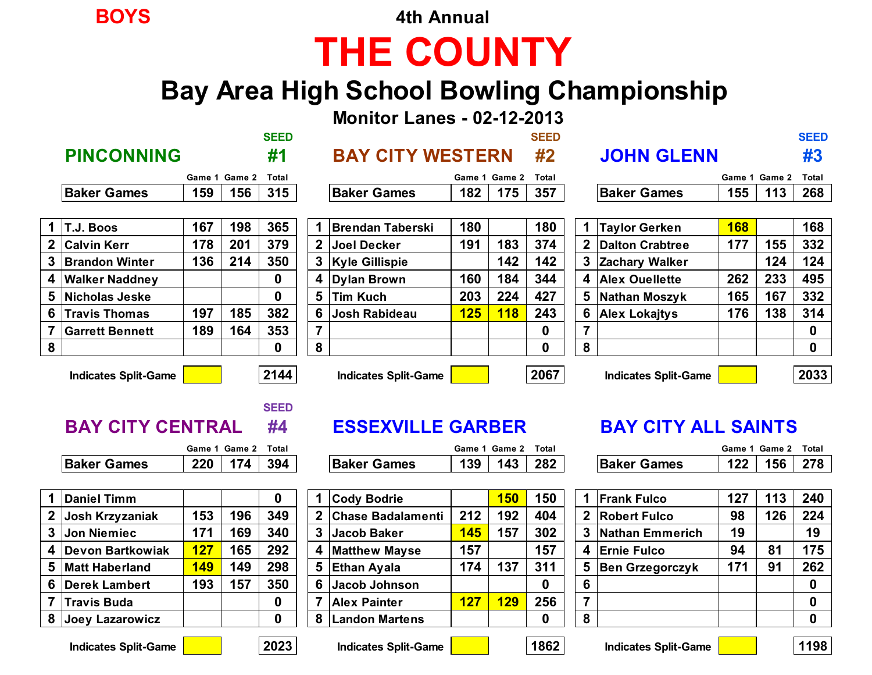**BOYS 4th Annual**

# **THE COUNTY**

## **Bay Area High School Bowling Championship**

**Monitor Lanes - 02-12-2013**

|                    |                      |                     | <b>SEED</b> |                    |                           |     | <b>SEED</b>          |                    |                      |               | <b>SEED</b>          |
|--------------------|----------------------|---------------------|-------------|--------------------|---------------------------|-----|----------------------|--------------------|----------------------|---------------|----------------------|
| <b>PINCONNING</b>  |                      |                     | #1          |                    | <b>BAY CITY WESTERN</b>   |     | #2                   | <b>JOHN GLENN</b>  |                      |               | #3                   |
|                    |                      | Game 1 Game 2 Total |             |                    | Game 1 Game 2 Total       |     |                      |                    |                      | Game 1 Game 2 | Total                |
| <b>Baker Games</b> | 159                  | 156                 | 315         | <b>Baker Games</b> | 182                       | 175 | 357                  | <b>Baker Games</b> | 155                  | 113           | 268                  |
|                    |                      |                     |             |                    |                           |     |                      |                    |                      |               |                      |
|                    | $\sim$ $\sim$ $\sim$ | .                   |             | _____              | $\sim$ $\sim$ $\sim$<br>. |     | $\sim$ $\sim$ $\sim$ |                    | $\sim$ $\sim$ $\sim$ |               | $\sim$ $\sim$ $\sim$ |

|   | T.J. Boos              | 167 | 198 | 365 |   | <b>Brendan Taberski</b> | 180 |            | 180         |   | <b>Taylor Gerken</b> | <b>168</b> |     | 168      |
|---|------------------------|-----|-----|-----|---|-------------------------|-----|------------|-------------|---|----------------------|------------|-----|----------|
|   | 2 Calvin Kerr          | 178 | 201 | 379 |   | Joel Decker             | 191 | 183        | 374         |   | 2 Dalton Crabtree    | 177        | 155 | 332      |
|   | 3 Brandon Winter       | 136 | 214 | 350 | 3 | <b>Kyle Gillispie</b>   |     | 142        | 142         |   | 3 Zachary Walker     |            | 124 | 124      |
|   | 4 Walker Naddney       |     |     | 0   | 4 | Dylan Brown             | 160 | 184        | 344         |   | 4 Alex Ouellette     | 262        | 233 | 495      |
|   | 5 Nicholas Jeske       |     |     |     | 5 | <b>Tim Kuch</b>         | 203 | 224        | 427         |   | 5 Nathan Moszyk      | 165        | 167 | 332      |
|   | 6 Travis Thomas        | 197 | 185 | 382 |   | Josh Rabideau           | 125 | <b>118</b> | 243         |   | 6 Alex Lokajtys      | 176        | 138 | 314      |
|   | <b>Garrett Bennett</b> | 189 | 164 | 353 |   |                         |     |            | $\bf{0}$    |   |                      |            |     | $\bf{0}$ |
| 8 |                        |     |     | 0   | 8 |                         |     |            | $\mathbf 0$ | 8 |                      |            |     | $\bf{0}$ |

| $\mathbf 1$    | <b>Brendan Taberski</b> | 180        |            | 180 |
|----------------|-------------------------|------------|------------|-----|
| $\mathbf{2}$   | <b>Joel Decker</b>      | 191        | 183        | 374 |
| 3              | <b>Kyle Gillispie</b>   |            | 142        | 142 |
| 4              | <b>Dylan Brown</b>      | 160        | 184        | 344 |
| 5              | Tim Kuch                | 203        | 224        | 427 |
| 6              | <b>Josh Rabideau</b>    | <b>125</b> | <b>118</b> | 243 |
| $\overline{7}$ |                         |            |            | 0   |
| 8              |                         |            |            | O   |
|                |                         |            |            |     |

| $\overline{1}$ | <b>Taylor Gerken</b>   | 168 |     | 168 |
|----------------|------------------------|-----|-----|-----|
| $\mathbf{2}$   | <b>Dalton Crabtree</b> | 177 | 155 | 332 |
| 3              | <b>Zachary Walker</b>  |     | 124 | 124 |
| 4              | <b>Alex Ouellette</b>  | 262 | 233 | 495 |
| 5              | <b>Nathan Moszyk</b>   | 165 | 167 | 332 |
| 6              | <b>Alex Lokaitys</b>   | 176 | 138 | 314 |
| 7              |                        |     |     |     |
| 8              |                        |     |     |     |
|                |                        |     |     |     |

**Indicates Split-Game 2144 Indicates Split-Game 2067 Indicates Split-Game 2033**

## **SEED**

|  | <b>BAY CITY CENTRAL</b> |  |
|--|-------------------------|--|
|  |                         |  |

|             | Game 1 Game 2 Total |  |
|-------------|---------------------|--|
| Baker Games | 174 $\parallel$     |  |

|              | Daniel Timm            |            |     |     |
|--------------|------------------------|------------|-----|-----|
| $\mathbf{2}$ | Josh Krzyzaniak        | 153        | 196 | 349 |
| 3            | <b>Jon Niemiec</b>     | 171        | 169 | 340 |
| 4            | Devon Bartkowiak       | <b>127</b> | 165 | 292 |
| 5            | <b>Matt Haberland</b>  | 149        | 149 | 298 |
| 6            | <b>Derek Lambert</b>   | 193        | 157 | 350 |
|              | <b>Travis Buda</b>     |            |     |     |
| 8            | <b>Joey Lazarowicz</b> |            |     |     |

|                       | Game | ∡ Game | Tota. |                       | Game     | Game     | Total |                       | Game | Game | Total |
|-----------------------|------|--------|-------|-----------------------|----------|----------|-------|-----------------------|------|------|-------|
| <b>Baker</b><br>Games | つつハ  | 10     | 394   | <b>Baker</b><br>3ames | 20<br>vũ | --<br>14 | 282   | <b>Baker</b><br>Games | 10C  | 156  | 278   |

| Daniel Timm         |            |     | 0   |                | <b>Cody Bodrie</b>    |     | 150 | 150 |    | <b>Frank Fulco</b>       | 127 | 113 | 240          |
|---------------------|------------|-----|-----|----------------|-----------------------|-----|-----|-----|----|--------------------------|-----|-----|--------------|
| 2 ∣Josh Krzyzaniak  | 153        | 196 | 349 |                | 2 Chase Badalamenti   | 212 | 192 | 404 |    | 2 Robert Fulco           | 98  | 126 | 224          |
| 3  Jon Niemiec      | 171        | 169 | 340 | 3 <sup>1</sup> | <b>Jacob Baker</b>    | 145 | 157 | 302 |    | Nathan Emmerich          | 19  |     | 19           |
| 4  Devon Bartkowiak | <b>127</b> | 165 | 292 |                | 4 Matthew Mayse       | 157 |     | 157 |    | <b>Ernie Fulco</b>       | 94  | 81  | 175          |
| 5 Matt Haberland    | <b>149</b> | 149 | 298 |                | 5 Ethan Ayala         | 174 | 137 | 311 | 5. | <b>⊦ Ben Grzegorczyk</b> | 171 | 91  | 262          |
| 6 Derek Lambert     | 193        | 157 | 350 | 6 <sup>1</sup> | Jacob Johnson         |     |     | 0   | 6. |                          |     |     | $\mathbf{0}$ |
| 7  Travis Buda      |            |     | 0   |                | <b>Alex Painter</b>   | 127 | 129 | 256 |    |                          |     |     | $\bf{0}$     |
| 8 Joey Lazarowicz   |            |     | 0   |                | <b>Landon Martens</b> |     |     | 0   |    |                          |     |     | $\bf{0}$     |

#### **ESSEXVILLE GARBER BAY CITY ALL SAINTS**

|             |                 | Game 1 Game 2 Total |  |
|-------------|-----------------|---------------------|--|
| 3aker Games | 122   156   278 |                     |  |

| 1            | <b>Frank Fulco</b>     | 127 | 113 | 240 |
|--------------|------------------------|-----|-----|-----|
| $\mathbf{2}$ | <b>Robert Fulco</b>    | 98  | 126 | 224 |
| 3            | <b>Nathan Emmerich</b> | 19  |     | 19  |
| 4            | <b>Ernie Fulco</b>     | 94  | 81  | 175 |
| 5            | <b>Ben Grzegorczyk</b> | 171 | 91  | 262 |
| 6            |                        |     |     | 0   |
|              |                        |     |     |     |
|              |                        |     |     |     |

**Indicates Split-Game 2023 Indicates Split-Game 1862 Indicates Split-Game 1198**

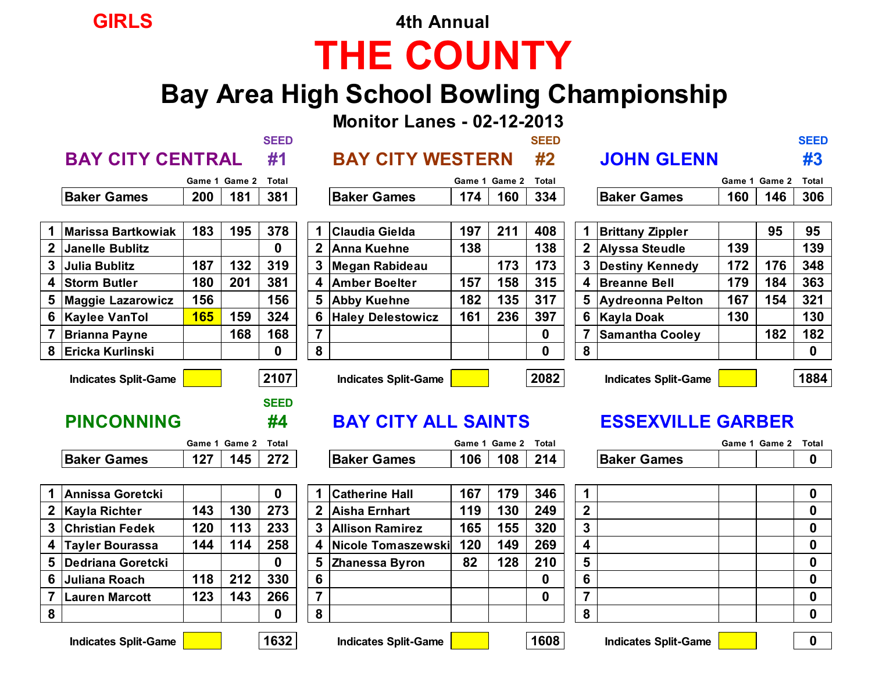## **GIRLS 4th Annual THE COUNTY**

## **Bay Area High School Bowling Championship**

**Monitor Lanes - 02-12-2013**

|                            | <b>SEED</b> |                            | <b>SEED</b> |                     | <b>SEED</b> |
|----------------------------|-------------|----------------------------|-------------|---------------------|-------------|
| <b>BAY CITY CENTRAL #1</b> |             | <b>BAY CITY WESTERN #2</b> |             | <b>JOHN GLENN</b>   |             |
| Game 1 Game 2 Total        |             | Game 1 Game 2 Total        |             | Game 1 Game 2 Total |             |

|                    | Game 1 Game 2 Total |  |
|--------------------|---------------------|--|
| <b>Baker Games</b> | 200 181 381         |  |

|              | <b>Marissa Bartkowiak</b> | 183 | 195 | 378 |
|--------------|---------------------------|-----|-----|-----|
| $\mathbf{2}$ | Janelle Bublitz           |     |     | 0   |
| 3            | <b>Julia Bublitz</b>      | 187 | 132 | 319 |
| 4            | <b>Storm Butler</b>       | 180 | 201 | 381 |
| 5            | <b>Maggie Lazarowicz</b>  | 156 |     | 156 |
| 6            | <b>Kaylee VanTol</b>      | 165 | 159 | 324 |
| 7            | <b>Brianna Payne</b>      |     | 168 | 168 |
| 8            | <b>Ericka Kurlinski</b>   |     |     | O   |

|                    | Game 1 Game 2 Total |  |
|--------------------|---------------------|--|
| <b>Baker Games</b> | $174$   160   334   |  |
|                    |                     |  |

| <b>Marissa Bartkowiak</b> | 183 | 195 | 378         |   | <b>Claudia Gielda</b> | 197 | 211 | 408         | <b>Brittany Zippler</b> |     | 95  | 95           |
|---------------------------|-----|-----|-------------|---|-----------------------|-----|-----|-------------|-------------------------|-----|-----|--------------|
| 2 Janelle Bublitz         |     |     | 0           |   | 2 Anna Kuehne         | 138 |     | 138         | 2 Alyssa Steudle        | 139 |     | 139          |
| 3  Julia Bublitz          | 187 | 132 | 319         |   | 3 Megan Rabideau      |     | 173 | 173         | Destiny Kennedy         | 172 | 176 | 348          |
| 4 Storm Butler            | 180 | 201 | 381         |   | 4 Amber Boelter       | 157 | 158 | 315         | <b>Breanne Bell</b>     | 179 | 184 | 363          |
| 5 Maggie Lazarowicz       | 156 |     | 156         |   | 5 Abby Kuehne         | 182 | 135 | 317         | 5 Aydreonna Pelton      | 167 | 154 | 321          |
|                           | 165 | 159 | 324         |   | 6 Haley Delestowicz   | 161 | 236 | 397         | 6 Kayla Doak            | 130 |     | 130          |
| 7 Brianna Payne           |     | 168 | 168         |   |                       |     |     | $\mathbf 0$ | <b>Samantha Cooley</b>  |     | 182 | 182          |
| 8 İEricka Kurlinski       |     |     | $\mathbf 0$ | 8 |                       |     |     | $\bf{0}$    |                         |     |     | $\mathbf{0}$ |
|                           |     |     |             |   |                       |     |     |             |                         |     |     |              |

|  | <b>JOHN GLENN</b> |  |  |  |
|--|-------------------|--|--|--|
|  |                   |  |  |  |

|                       | Game | Game ∠ | Tota. |                       | Game          | Game | Total |                       | Game | Game | <b>Total</b> |
|-----------------------|------|--------|-------|-----------------------|---------------|------|-------|-----------------------|------|------|--------------|
| <b>Baker</b><br>Games | 200  | . п.   | 381   | <b>Baker</b><br>Gamer | $\sim$ $\sim$ | 160  | 334   | <b>Baker</b><br>Games | 160  | 146  | 306          |

| ielda    | 197 | 211 | 408 | 1 | <b>Brittany Zippler</b> |     | 95  | 95  |
|----------|-----|-----|-----|---|-------------------------|-----|-----|-----|
| hne      | 138 |     | 138 | 2 | <b>Alyssa Steudle</b>   | 139 |     | 139 |
| ıbideau  |     | 173 | 173 | 3 | <b>Destiny Kennedy</b>  | 172 | 176 | 348 |
| velter   | 157 | 158 | 315 | 4 | <b>Breanne Bell</b>     | 179 | 184 | 363 |
| hne      | 182 | 135 | 317 | 5 | <b>Aydreonna Pelton</b> | 167 | 154 | 321 |
| estowicz | 161 | 236 | 397 | 6 | <b>Kayla Doak</b>       | 130 |     | 130 |
|          |     |     | 0   |   | <b>Samantha Cooley</b>  |     | 182 | 182 |
|          |     |     | 0   | 8 |                         |     |     | 0   |
|          |     |     |     |   |                         |     |     |     |

**Indicates Split-Game 2107 Indicates Split-Game 2082 Indicates Split-Game 1884**

#### **PINCONNING #4 BAY CITY ALL SAINTS ESSEXVILLE GARBER**

|                    | Game 1 Game 2 Total |  |
|--------------------|---------------------|--|
| <b>Baker Games</b> |                     |  |

|                         |  | 0 |
|-------------------------|--|---|
| $\boldsymbol{2}$        |  | 0 |
| $\overline{\mathbf{3}}$ |  | 0 |
|                         |  | 0 |
| 5                       |  | 0 |
| 6                       |  | ი |
| 7                       |  | 0 |
| 8                       |  | n |

|                              | Game           | Game                            | Total |                       | Game | Game 2 | Total |                       | Game | Game . | Tot |
|------------------------------|----------------|---------------------------------|-------|-----------------------|------|--------|-------|-----------------------|------|--------|-----|
| <b>Baker</b><br><b>Games</b> | $\overline{1}$ | --<br>$\mathbf{A}^{\mathbf{r}}$ | הדה   | <b>Baker</b><br>Games | 106  | 108    | 214   | <b>Baker</b><br>Games |      |        |     |

|              | <b>Annissa Goretcki</b> |     |     |     |
|--------------|-------------------------|-----|-----|-----|
| $\mathbf{2}$ | <b>Kayla Richter</b>    | 143 | 130 | 273 |
| 3            | <b>Christian Fedek</b>  | 120 | 113 | 233 |
| 4            | <b>Tayler Bourassa</b>  | 144 | 114 | 258 |
| 5            | Dedriana Goretcki       |     |     |     |
| 6            | Juliana Roach           | 118 | 212 | 330 |
|              | Lauren Marcott          | 123 | 143 | 266 |
|              |                         |     |     |     |

|   | 1  Annissa Goretcki   |     |     | 0   |              | <b>Catherine Hall</b> | 167 | 179 | 346 |                         |  |  |
|---|-----------------------|-----|-----|-----|--------------|-----------------------|-----|-----|-----|-------------------------|--|--|
|   | 2 Kayla Richter       | 143 | 130 | 273 | $\mathbf{2}$ | Aisha Ernhart         | 119 | 130 | 249 | $\mathbf{2}$            |  |  |
|   |                       | 120 | 113 | 233 |              | 3 Allison Ramirez     | 165 | 155 | 320 | 3                       |  |  |
|   | 4  Tayler Bourassa    | 144 | 114 | 258 |              | 4 Nicole Tomaszewski  | 120 | 149 | 269 | $\overline{\mathbf{4}}$ |  |  |
|   | 5 Dedriana Goretcki   |     |     | 0   |              | 5 Zhanessa Byron      | 82  | 128 | 210 | $5\phantom{1}$          |  |  |
|   | 6  Juliana Roach      | 118 | 212 | 330 | 6            |                       |     |     |     |                         |  |  |
|   | <b>Lauren Marcott</b> | 123 | 143 | 266 |              |                       |     |     | 0   |                         |  |  |
| 8 |                       |     |     | 0   | 8            |                       |     |     |     | 8                       |  |  |

**Indicates Split-Game 1632 Indicates Split-Game 1608 Indicates Split-Game 0**

**SEED**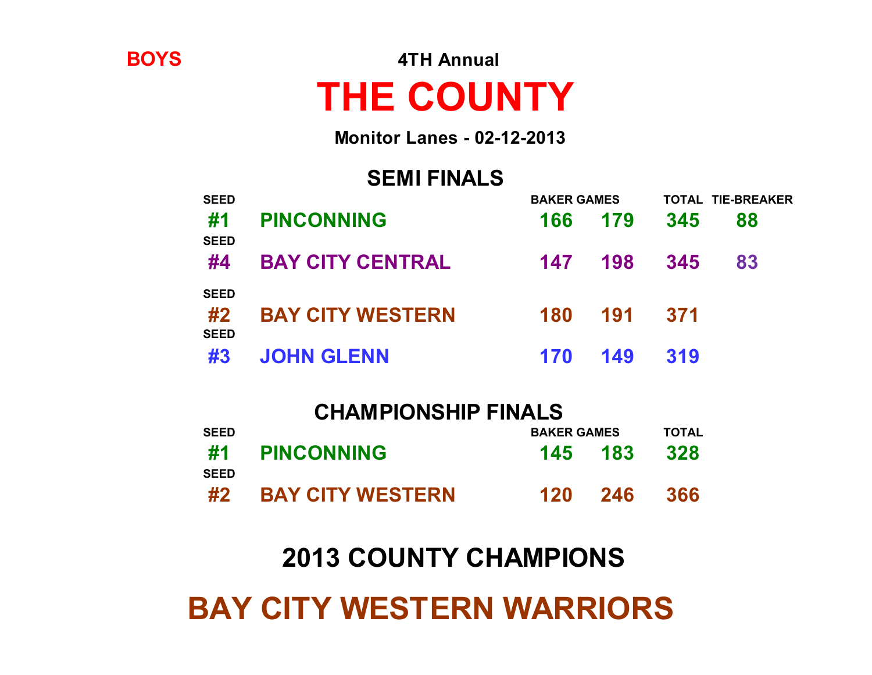# **BAY CITY WESTERN WARRIORS**

## **2013 COUNTY CHAMPIONS**

| <b>CHAMPIONSHIP FINALS</b> |                         |                    |              |     |  |
|----------------------------|-------------------------|--------------------|--------------|-----|--|
| <b>SEED</b>                |                         | <b>BAKER GAMES</b> | <b>TOTAL</b> |     |  |
| #1<br><b>SEED</b>          | <b>PINCONNING</b>       | 145 183            |              | 328 |  |
| #2                         | <b>BAY CITY WESTERN</b> | 120                | 246          | 366 |  |

| <b>SEED</b>                      |                         | <b>BAKER GAMES</b> |     |      | <b>TOTAL TIE-BREAKER</b> |
|----------------------------------|-------------------------|--------------------|-----|------|--------------------------|
| #1<br><b>SEED</b>                | <b>PINCONNING</b>       | 166                | 179 | 345  | 88                       |
| #4                               | <b>BAY CITY CENTRAL</b> | 147                | 198 | 345  | 83                       |
| <b>SEED</b><br>#2<br><b>SEED</b> | <b>BAY CITY WESTERN</b> | 180                | 191 | -371 |                          |
| #3                               | <b>JOHN GLENN</b>       | 170                | 149 | 319  |                          |

### **SEMI FINALS**

**THE COUNTY**

**Monitor Lanes - 02-12-2013**

**BOYS 4TH Annual**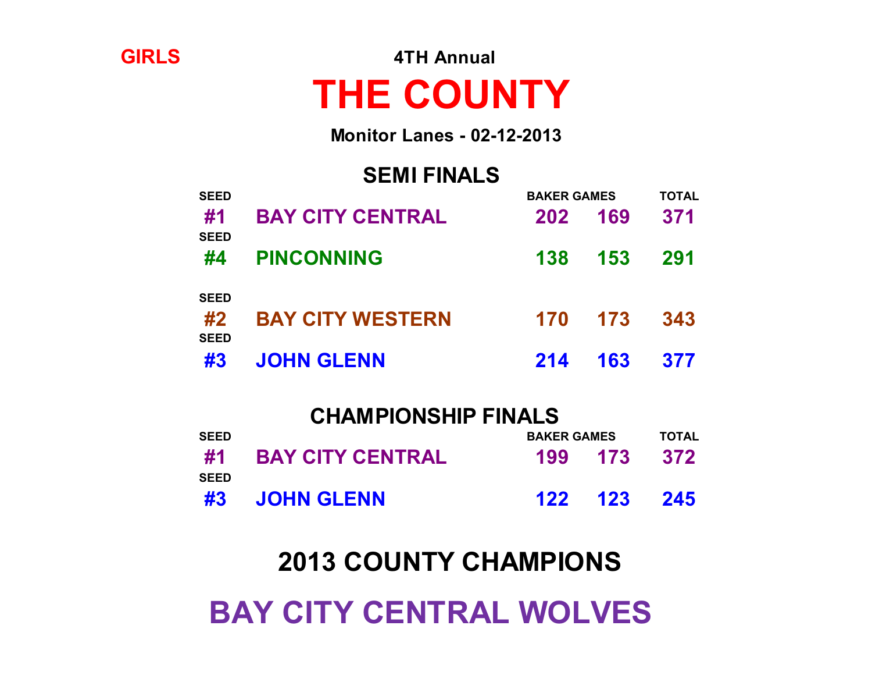# **BAY CITY CENTRAL WOLVES**

## **2013 COUNTY CHAMPIONS**

| <b>CHAMPIONSHIP FINALS</b> |                         |  |                    |     |  |
|----------------------------|-------------------------|--|--------------------|-----|--|
| <b>SEED</b>                |                         |  | <b>BAKER GAMES</b> |     |  |
| #1<br><b>SEED</b>          | <b>BAY CITY CENTRAL</b> |  | 199 173            | 372 |  |
|                            | #3 JOHN GLENN           |  | 122 123 245        |     |  |

| SEED                             | #4 PINCONNING           | 138 | 153         | 291 |
|----------------------------------|-------------------------|-----|-------------|-----|
| <b>SEED</b><br>#2<br><b>SEED</b> | <b>BAY CITY WESTERN</b> |     | 170 173 343 |     |
|                                  | #3 JOHN GLENN           |     | 214 163 377 |     |

**SEMI FINALS SEED BAKER GAMES TOTAL**

**Monitor Lanes - 02-12-2013**

**#1 BAY CITY CENTRAL 202 169 371**

# **THE COUNTY**

**GIRLS 4TH Annual**

**SEED**